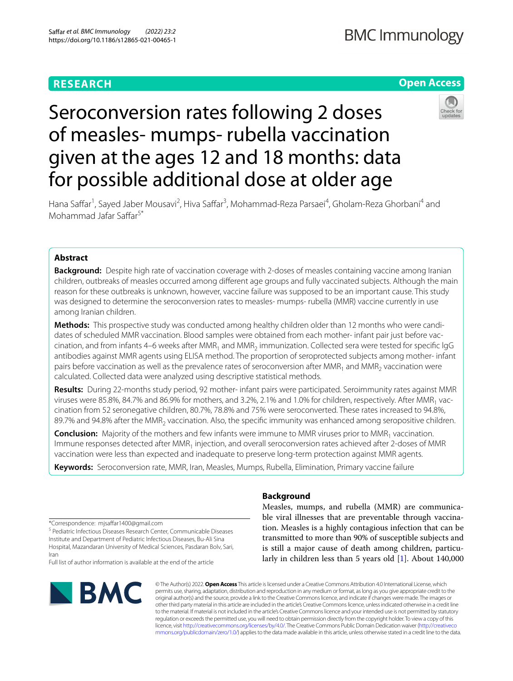# **RESEARCH**

## **Open Access**



# Seroconversion rates following 2 doses of measles- mumps- rubella vaccination given at the ages 12 and 18 months: data for possible additional dose at older age

Hana Saffar<sup>1</sup>, Sayed Jaber Mousavi<sup>2</sup>, Hiva Saffar<sup>3</sup>, Mohammad-Reza Parsaei<sup>4</sup>, Gholam-Reza Ghorbani<sup>4</sup> and Mohammad Jafar Safar5\*

## **Abstract**

**Background:** Despite high rate of vaccination coverage with 2-doses of measles containing vaccine among Iranian children, outbreaks of measles occurred among diferent age groups and fully vaccinated subjects. Although the main reason for these outbreaks is unknown, however, vaccine failure was supposed to be an important cause. This study was designed to determine the seroconversion rates to measles- mumps- rubella (MMR) vaccine currently in use among Iranian children.

Methods: This prospective study was conducted among healthy children older than 12 months who were candidates of scheduled MMR vaccination. Blood samples were obtained from each mother- infant pair just before vaccination, and from infants 4–6 weeks after MMR<sub>1</sub> and MMR<sub>2</sub> immunization. Collected sera were tested for specific lgG antibodies against MMR agents using ELISA method. The proportion of seroprotected subjects among mother- infant pairs before vaccination as well as the prevalence rates of seroconversion after  $MMR_1$  and  $MMR_2$  vaccination were calculated. Collected data were analyzed using descriptive statistical methods.

**Results:** During 22-months study period, 92 mother- infant pairs were participated. Seroimmunity rates against MMR viruses were 85.8%, 84.7% and 86.9% for mothers, and 3.2%, 2.1% and 1.0% for children, respectively. After MMR<sub>1</sub> vaccination from 52 seronegative children, 80.7%, 78.8% and 75% were seroconverted. These rates increased to 94.8%, 89.7% and 94.8% after the MMR<sub>2</sub> vaccination. Also, the specific immunity was enhanced among seropositive children.

**Conclusion:** Majority of the mothers and few infants were immune to MMR viruses prior to MMR<sub>1</sub> vaccination. Immune responses detected after MMR<sub>1</sub> injection, and overall seroconversion rates achieved after 2-doses of MMR vaccination were less than expected and inadequate to preserve long-term protection against MMR agents.

**Keywords:** Seroconversion rate, MMR, Iran, Measles, Mumps, Rubella, Elimination, Primary vaccine failure

\*Correspondence: mjsafar1400@gmail.com

<sup>5</sup> Pediatric Infectious Diseases Research Center, Communicable Diseases Institute and Department of Pediatric Infectious Diseases, Bu‑Ali Sina Hospital, Mazandaran University of Medical Sciences, Pasdaran Bolv, Sari, Iran

Full list of author information is available at the end of the article



## **Background**

Measles, mumps, and rubella (MMR) are communicable viral illnesses that are preventable through vaccination. Measles is a highly contagious infection that can be transmitted to more than 90% of susceptible subjects and is still a major cause of death among children, particularly in children less than 5 years old [\[1](#page-5-0)]. About 140,000

© The Author(s) 2022. **Open Access** This article is licensed under a Creative Commons Attribution 4.0 International License, which permits use, sharing, adaptation, distribution and reproduction in any medium or format, as long as you give appropriate credit to the original author(s) and the source, provide a link to the Creative Commons licence, and indicate if changes were made. The images or other third party material in this article are included in the article's Creative Commons licence, unless indicated otherwise in a credit line to the material. If material is not included in the article's Creative Commons licence and your intended use is not permitted by statutory regulation or exceeds the permitted use, you will need to obtain permission directly from the copyright holder. To view a copy of this licence, visit [http://creativecommons.org/licenses/by/4.0/.](http://creativecommons.org/licenses/by/4.0/) The Creative Commons Public Domain Dedication waiver ([http://creativeco](http://creativecommons.org/publicdomain/zero/1.0/) [mmons.org/publicdomain/zero/1.0/](http://creativecommons.org/publicdomain/zero/1.0/)) applies to the data made available in this article, unless otherwise stated in a credit line to the data.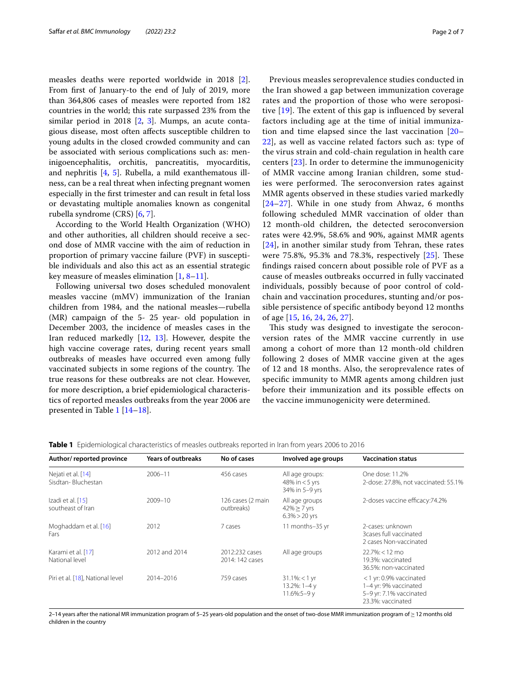measles deaths were reported worldwide in 2018 [\[2](#page-5-1)]. From frst of January-to the end of July of 2019, more than 364,806 cases of measles were reported from 182 countries in the world; this rate surpassed 23% from the similar period in 2018 [[2,](#page-5-1) [3\]](#page-5-2). Mumps, an acute contagious disease, most often afects susceptible children to young adults in the closed crowded community and can be associated with serious complications such as: meninigoencephalitis, orchitis, pancreatitis, myocarditis, and nephritis [[4,](#page-5-3) [5\]](#page-5-4). Rubella, a mild exanthematous illness, can be a real threat when infecting pregnant women especially in the frst trimester and can result in fetal loss or devastating multiple anomalies known as congenital rubella syndrome (CRS) [[6](#page-5-5), [7\]](#page-5-6).

According to the World Health Organization (WHO) and other authorities, all children should receive a second dose of MMR vaccine with the aim of reduction in proportion of primary vaccine failure (PVF) in susceptible individuals and also this act as an essential strategic key measure of measles elimination  $[1, 8-11]$  $[1, 8-11]$  $[1, 8-11]$  $[1, 8-11]$ .

Following universal two doses scheduled monovalent measles vaccine (mMV) immunization of the Iranian children from 1984, and the national measles—rubella (MR) campaign of the 5- 25 year- old population in December 2003, the incidence of measles cases in the Iran reduced markedly [[12,](#page-5-9) [13\]](#page-5-10). However, despite the high vaccine coverage rates, during recent years small outbreaks of measles have occurred even among fully vaccinated subjects in some regions of the country. The true reasons for these outbreaks are not clear. However, for more description, a brief epidemiological characteristics of reported measles outbreaks from the year 2006 are presented in Table [1](#page-1-0) [[14](#page-5-11)[–18](#page-6-0)].

Previous measles seroprevalence studies conducted in the Iran showed a gap between immunization coverage rates and the proportion of those who were seropositive  $[19]$  $[19]$ . The extent of this gap is influenced by several factors including age at the time of initial immunization and time elapsed since the last vaccination [[20–](#page-6-2) [22\]](#page-6-3), as well as vaccine related factors such as: type of the virus strain and cold-chain regulation in health care centers [[23](#page-6-4)]. In order to determine the immunogenicity of MMR vaccine among Iranian children, some studies were performed. The seroconversion rates against MMR agents observed in these studies varied markedly  $[24–27]$  $[24–27]$  $[24–27]$  $[24–27]$ . While in one study from Ahwaz, 6 months following scheduled MMR vaccination of older than 12 month-old children, the detected seroconversion rates were 42.9%, 58.6% and 90%, against MMR agents [[24](#page-6-5)], in another similar study from Tehran, these rates were  $75.8\%$ ,  $95.3\%$  and  $78.3\%$ , respectively  $[25]$  $[25]$ . These fndings raised concern about possible role of PVF as a cause of measles outbreaks occurred in fully vaccinated individuals, possibly because of poor control of coldchain and vaccination procedures, stunting and/or possible persistence of specifc antibody beyond 12 months of age [\[15](#page-5-12), [16](#page-6-8), [24](#page-6-5), [26](#page-6-9), [27](#page-6-6)].

This study was designed to investigate the seroconversion rates of the MMR vaccine currently in use among a cohort of more than 12 month-old children following 2 doses of MMR vaccine given at the ages of 12 and 18 months. Also, the seroprevalence rates of specifc immunity to MMR agents among children just before their immunization and its possible efects on the vaccine immunogenicity were determined.

| Author/reported province                 | <b>Years of outbreaks</b> | No of cases                       | Involved age groups                                     | <b>Vaccination status</b>                                                                       |
|------------------------------------------|---------------------------|-----------------------------------|---------------------------------------------------------|-------------------------------------------------------------------------------------------------|
| Nejati et al. [14]<br>Sisdtan-Bluchestan | $2006 - 11$               | 456 cases                         | All age groups:<br>48% in $<$ 5 yrs<br>34% in 5-9 yrs   | One dose: 11.2%<br>2-dose: 27.8%, not vaccinated: 55.1%                                         |
| Izadi et al. [15]<br>southeast of Iran   | 2009-10                   | 126 cases (2 main<br>outbreaks)   | All age groups<br>$42\% \geq 7$ yrs<br>$6.3\% > 20$ yrs | 2-doses vaccine efficacy: 74.2%                                                                 |
| Moghaddam et al. [16]<br>Fars            | 2012                      | 7 cases                           | 11 months-35 yr                                         | 2-cases: unknown<br>3cases full vaccinated<br>2 cases Non-vaccinated                            |
| Karami et al. [17]<br>National level     | 2012 and 2014             | 2012:232 cases<br>2014: 142 cases | All age groups                                          | $22.7\%i < 12 \text{ mo}$<br>19.3%: vaccinated<br>36.5%: non-vaccinated                         |
| Piri et al. [18], National level         | 2014-2016                 | 759 cases                         | $31.1\% < 1$ yr<br>13.2%: 1-4 y<br>$11.6\%:5-9v$        | <1 yr: 0.9% vaccinated<br>1-4 yr: 9% vaccinated<br>5-9 yr: 7.1% vaccinated<br>23.3%: vaccinated |

<span id="page-1-0"></span>**Table 1** Epidemiological characteristics of measles outbreaks reported in Iran from years 2006 to 2016

2–14 years after the national MR immunization program of 5–25 years-old population and the onset of two-dose MMR immunization program of ≥ 12 months old children in the country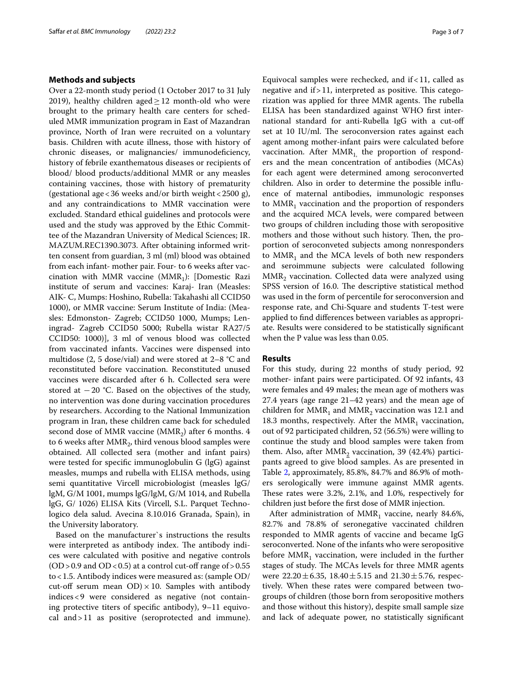#### **Methods and subjects**

Over a 22-month study period (1 October 2017 to 31 July 2019), healthy children aged $>12$  month-old who were brought to the primary health care centers for scheduled MMR immunization program in East of Mazandran province, North of Iran were recruited on a voluntary basis. Children with acute illness, those with history of chronic diseases, or malignancies/ immunodeficiency, history of febrile exanthematous diseases or recipients of blood/ blood products/additional MMR or any measles containing vaccines, those with history of prematurity (gestational age < 36 weeks and/or birth weight <  $2500$  g), and any contraindications to MMR vaccination were excluded. Standard ethical guidelines and protocols were used and the study was approved by the Ethic Committee of the Mazandran University of Medical Sciences; IR. MAZUM.REC1390.3073. After obtaining informed written consent from guardian, 3 ml (ml) blood was obtained from each infant- mother pair. Four- to 6 weeks after vaccination with MMR vaccine ( $MMR_1$ ): [Domestic Razi institute of serum and vaccines: Karaj- Iran (Measles: AIK- C, Mumps: Hoshino, Rubella: Takahashi all CCID50 1000), or MMR vaccine: Serum Institute of India: (Measles: Edmonston- Zagreb; CCID50 1000, Mumps; Leningrad- Zagreb CCID50 5000; Rubella wistar RA27/5 CCID50: 1000)], 3 ml of venous blood was collected from vaccinated infants. Vaccines were dispensed into multidose (2, 5 dose/vial) and were stored at 2–8 °C and reconstituted before vaccination. Reconstituted unused vaccines were discarded after 6 h. Collected sera were stored at  $-20$  °C. Based on the objectives of the study, no intervention was done during vaccination procedures by researchers. According to the National Immunization program in Iran, these children came back for scheduled second dose of MMR vaccine (MMR<sub>2</sub>) after 6 months. 4 to 6 weeks after  $MMR<sub>2</sub>$ , third venous blood samples were obtained. All collected sera (mother and infant pairs) were tested for specifc immunoglobulin G (lgG) against measles, mumps and rubella with ELISA methods, using semi quantitative Vircell microbiologist (measles lgG/ lgM, G/M 1001, mumps lgG/lgM, G/M 1014, and Rubella lgG, G/ 1026) ELISA Kits (Vircell, S.L. Parquet Technologico dela salud. Avecina 8.10.016 Granada, Spain), in the University laboratory.

Based on the manufacturer`s instructions the results were interpreted as antibody index. The antibody indices were calculated with positive and negative controls  $(OD > 0.9$  and  $OD < 0.5$ ) at a control cut-off range of  $> 0.55$ to<1.5. Antibody indices were measured as: (sample OD/ cut-off serum mean  $OD$  × 10. Samples with antibody indices<9 were considered as negative (not containing protective titers of specifc antibody), 9–11 equivocal and>11 as positive (seroprotected and immune).

Equivocal samples were rechecked, and  $if < 11$ , called as negative and if  $>11$ , interpreted as positive. This categorization was applied for three MMR agents. The rubella ELISA has been standardized against WHO frst international standard for anti-Rubella IgG with a cut-of set at 10 IU/ml. The seroconversion rates against each agent among mother-infant pairs were calculated before vaccination. After  $MMR_1$  the proportion of responders and the mean concentration of antibodies (MCAs) for each agent were determined among seroconverted children. Also in order to determine the possible infuence of maternal antibodies, immunologic responses to  $MMR_1$  vaccination and the proportion of responders and the acquired MCA levels, were compared between two groups of children including those with seropositive mothers and those without such history. Then, the proportion of seroconveted subjects among nonresponders to  $MMR_1$  and the MCA levels of both new responders and seroimmune subjects were calculated following MMR<sub>2</sub> vaccination. Collected data were analyzed using SPSS version of 16.0. The descriptive statistical method was used in the form of percentile for seroconversion and response rate, and Chi-Square and students T-test were applied to fnd diferences between variables as appropriate. Results were considered to be statistically signifcant when the P value was less than 0.05.

#### **Results**

For this study, during 22 months of study period, 92 mother- infant pairs were participated. Of 92 infants, 43 were females and 49 males; the mean age of mothers was 27.4 years (age range 21–42 years) and the mean age of children for  $MMR_1$  and  $MMR_2$  vaccination was 12.1 and 18.3 months, respectively. After the  $MMR_1$  vaccination, out of 92 participated children, 52 (56.5%) were willing to continue the study and blood samples were taken from them. Also, after  $MMR_2$  vaccination, 39 (42.4%) participants agreed to give blood samples. As are presented in Table [2,](#page-3-0) approximately, 85.8%, 84.7% and 86.9% of mothers serologically were immune against MMR agents. These rates were 3.2%, 2.1%, and 1.0%, respectively for children just before the frst dose of MMR injection.

After administration of  $MMR_1$  vaccine, nearly 84.6%, 82.7% and 78.8% of seronegative vaccinated children responded to MMR agents of vaccine and became IgG seroconverted. None of the infants who were seropositive before  $MMR_1$  vaccination, were included in the further stages of study. The MCAs levels for three MMR agents were  $22.20 \pm 6.35$ ,  $18.40 \pm 5.15$  and  $21.30 \pm 5.76$ , respectively. When these rates were compared between twogroups of children (those born from seropositive mothers and those without this history), despite small sample size and lack of adequate power, no statistically signifcant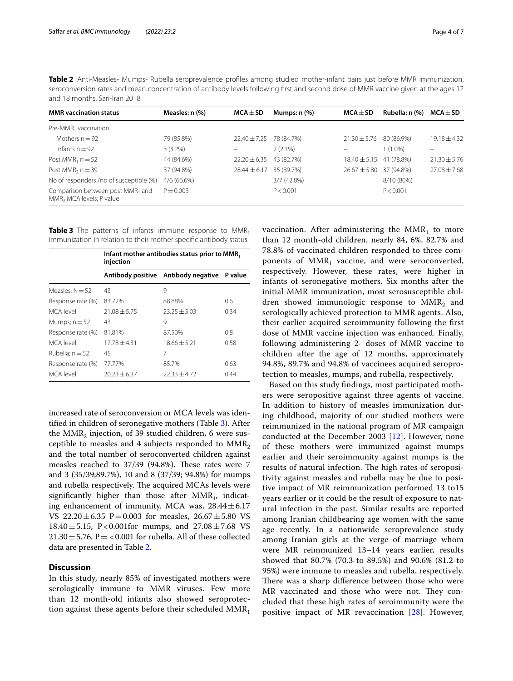<span id="page-3-0"></span>

|                               | Table 2 Anti-Measles- Mumps- Rubella seroprevalence profiles among studied mother-infant pairs just before MMR immunization,       |  |  |  |
|-------------------------------|------------------------------------------------------------------------------------------------------------------------------------|--|--|--|
|                               | seroconversion rates and mean concentration of antibody levels following first and second dose of MMR vaccine given at the ages 12 |  |  |  |
| and 18 months, Sari-Iran 2018 |                                                                                                                                    |  |  |  |

| <b>MMR</b> vaccination status                                                        | Measles: n (%) | $MCA \pm SD$                | Mumps: $n$ $%$ | $MCA \pm SD$                | Rubella: n (%) | $MCA \pm SD$     |
|--------------------------------------------------------------------------------------|----------------|-----------------------------|----------------|-----------------------------|----------------|------------------|
| Pre-MMR <sub>1</sub> vaccination                                                     |                |                             |                |                             |                |                  |
| Mothers $n = 92$                                                                     | 79 (85.8%)     | $22.40 \pm 7.25$ 78 (84.7%) |                | $21.30 \pm 5.76$            | 80 (86.9%)     | $19.18 \pm 4.32$ |
| Infants $n = 92$                                                                     | $3(3.2\%)$     |                             | $2(2.1\%)$     |                             | $1(1.0\%)$     |                  |
| Post MMR <sub>1</sub> $n = 52$                                                       | 44 (84.6%)     | $22.20 \pm 6.35$            | 43 (82.7%)     | $18.40 \pm 5.15$ 41 (78.8%) |                | $21.30 \pm 5.76$ |
| Post MMR <sub>2</sub> $n = 39$                                                       | 37 (94.8%)     | $28.44 \pm 6.17$            | 35 (89.7%)     | $26.67 \pm 5.80$ 37 (94.8%) |                | $27.08 \pm 7.68$ |
| No of responders /no of susceptible (%)                                              | $4/6(66.6\%)$  |                             | 3/7 (42.8%)    |                             | 8/10 (80%)     |                  |
| Comparison between post MMR <sub>1</sub> and<br>MMR <sub>2</sub> MCA levels; P value | $P = 0.003$    |                             | P < 0.001      |                             | P < 0.001      |                  |

<span id="page-3-1"></span>**Table 3** The patterns of infants' immune response to MMR<sub>1</sub> immunization in relation to their mother specifc antibody status

|                   | Infant mother antibodies status prior to MMR <sub>1</sub><br>injection |                                     |         |  |  |
|-------------------|------------------------------------------------------------------------|-------------------------------------|---------|--|--|
|                   |                                                                        | Antibody positive Antibody negative | P value |  |  |
| Measles; $N = 52$ | 43                                                                     | 9                                   |         |  |  |
| Response rate (%) | 83.72%                                                                 | 88.88%                              | 0.6     |  |  |
| MCA level         | $21.08 + 5.75$                                                         | $23.25 + 5.03$                      | 0.34    |  |  |
| Mumps; $n = 52$   | 43                                                                     | 9                                   |         |  |  |
| Response rate (%) | 81.81%                                                                 | 87.50%                              | 0.8     |  |  |
| MCA level         | $17.78 \pm 4.31$                                                       | $18.66 + 5.21$                      | 0.58    |  |  |
| Rubella; $n = 52$ | 45                                                                     | 7                                   |         |  |  |
| Response rate (%) | 77.77%                                                                 | 85.7%                               | 0.63    |  |  |
| MCA level         | $20.23 + 6.37$                                                         | $22.33 \pm 4.72$                    | 0.44    |  |  |

increased rate of seroconversion or MCA levels was identifed in children of seronegative mothers (Table [3](#page-3-1)). After the  $MMR_2$  injection, of 39 studied children, 6 were susceptible to measles and 4 subjects responded to  $MMR<sub>2</sub>$ and the total number of seroconverted children against measles reached to  $37/39$  (94.8%). These rates were 7 and 3 (35/39;89.7%), 10 and 8 (37/39; 94.8%) for mumps and rubella respectively. The acquired MCAs levels were significantly higher than those after  $MMR_1$ , indicating enhancement of immunity. MCA was,  $28.44 \pm 6.17$ VS  $22.20 \pm 6.35$  P=0.003 for measles,  $26.67 \pm 5.80$  VS 18.40 $\pm$ 5.15, P<0.001for mumps, and 27.08 $\pm$ 7.68 VS  $21.30 \pm 5.76$ , P = <0.001 for rubella. All of these collected data are presented in Table [2.](#page-3-0)

## **Discussion**

In this study, nearly 85% of investigated mothers were serologically immune to MMR viruses. Few more than 12 month-old infants also showed seroprotection against these agents before their scheduled  $MMR_1$  vaccination. After administering the  $MMR_1$  to more than 12 month-old children, nearly 84, 6%, 82.7% and 78.8% of vaccinated children responded to three components of  $MMR_1$  vaccine, and were seroconverted, respectively. However, these rates, were higher in infants of seronegative mothers. Six months after the initial MMR immunization, most serosusceptible children showed immunologic response to  $MMR<sub>2</sub>$  and serologically achieved protection to MMR agents. Also, their earlier acquired seroimmunity following the frst dose of MMR vaccine injection was enhanced. Finally, following administering 2- doses of MMR vaccine to children after the age of 12 months, approximately 94.8%, 89.7% and 94.8% of vaccinees acquired seroprotection to measles, mumps, and rubella, respectively.

Based on this study fndings, most participated mothers were seropositive against three agents of vaccine. In addition to history of measles immunization during childhood, majority of our studied mothers were reimmunized in the national program of MR campaign conducted at the December 2003 [\[12](#page-5-9)]. However, none of these mothers were immunized against mumps earlier and their seroimmunity against mumps is the results of natural infection. The high rates of seropositivity against measles and rubella may be due to positive impact of MR reimmunization performed 13 to15 years earlier or it could be the result of exposure to natural infection in the past. Similar results are reported among Iranian childbearing age women with the same age recently. In a nationwide seroprevalence study among Iranian girls at the verge of marriage whom were MR reimmunized 13–14 years earlier, results showed that 80.7% (70.3-to 89.5%) and 90.6% (81.2-to 95%) were immune to measles and rubella, respectively. There was a sharp difference between those who were MR vaccinated and those who were not. They concluded that these high rates of seroimmunity were the positive impact of MR revaccination [[28](#page-6-11)]. However,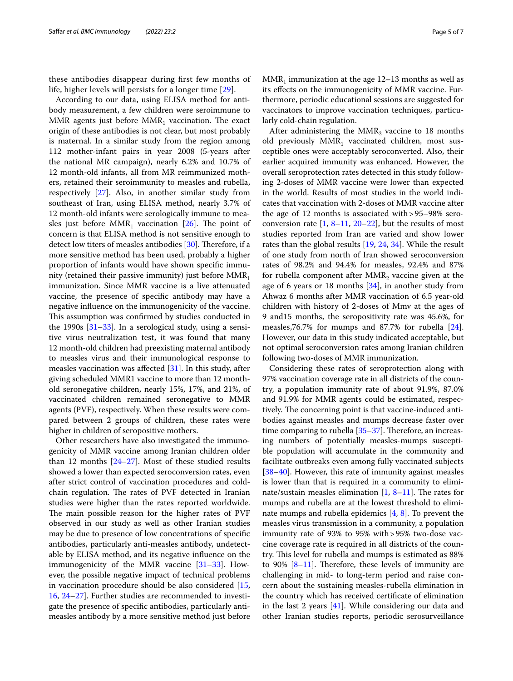these antibodies disappear during frst few months of life, higher levels will persists for a longer time [\[29](#page-6-12)].

According to our data, using ELISA method for antibody measurement, a few children were seroimmune to MMR agents just before  $MMR_1$  vaccination. The exact origin of these antibodies is not clear, but most probably is maternal. In a similar study from the region among 112 mother-infant pairs in year 2008 (5-years after the national MR campaign), nearly 6.2% and 10.7% of 12 month-old infants, all from MR reimmunized mothers, retained their seroimmunity to measles and rubella, respectively [\[27](#page-6-6)]. Also, in another similar study from southeast of Iran, using ELISA method, nearly 3.7% of 12 month-old infants were serologically immune to measles just before  $MMR_1$  vaccination [\[26\]](#page-6-9). The point of concern is that ELISA method is not sensitive enough to detect low titers of measles antibodies  $[30]$  $[30]$ . Therefore, if a more sensitive method has been used, probably a higher proportion of infants would have shown specifc immunity (retained their passive immunity) just before  $MMR_1$ immunization. Since MMR vaccine is a live attenuated vaccine, the presence of specifc antibody may have a negative infuence on the immunogenicity of the vaccine. This assumption was confirmed by studies conducted in the 1990s  $[31-33]$  $[31-33]$  $[31-33]$ . In a serological study, using a sensitive virus neutralization test, it was found that many 12 month-old children had preexisting maternal antibody to measles virus and their immunological response to measles vaccination was afected [[31](#page-6-14)]. In this study, after giving scheduled MMR1 vaccine to more than 12 monthold seronegative children, nearly 15%, 17%, and 21%, of vaccinated children remained seronegative to MMR agents (PVF), respectively. When these results were compared between 2 groups of children, these rates were higher in children of seropositive mothers.

Other researchers have also investigated the immunogenicity of MMR vaccine among Iranian children older than 12 months  $[24-27]$  $[24-27]$ . Most of these studied results showed a lower than expected seroconversion rates, even after strict control of vaccination procedures and coldchain regulation. The rates of PVF detected in Iranian studies were higher than the rates reported worldwide. The main possible reason for the higher rates of PVF observed in our study as well as other Iranian studies may be due to presence of low concentrations of specifc antibodies, particularly anti-measles antibody, undetectable by ELISA method, and its negative infuence on the immunogenicity of the MMR vaccine [[31–](#page-6-14)[33](#page-6-15)]. However, the possible negative impact of technical problems in vaccination procedure should be also considered [\[15](#page-5-12), [16,](#page-6-8) [24](#page-6-5)[–27](#page-6-6)]. Further studies are recommended to investigate the presence of specifc antibodies, particularly antimeasles antibody by a more sensitive method just before  $MMR<sub>1</sub>$  immunization at the age 12–13 months as well as its efects on the immunogenicity of MMR vaccine. Furthermore, periodic educational sessions are suggested for vaccinators to improve vaccination techniques, particularly cold-chain regulation.

After administering the  $MMR_2$  vaccine to 18 months old previously MMR<sub>1</sub> vaccinated children, most susceptible ones were acceptably seroconverted. Also, their earlier acquired immunity was enhanced. However, the overall seroprotection rates detected in this study following 2-doses of MMR vaccine were lower than expected in the world. Results of most studies in the world indicates that vaccination with 2-doses of MMR vaccine after the age of 12 months is associated with>95–98% seroconversion rate  $[1, 8-11, 20-22]$  $[1, 8-11, 20-22]$  $[1, 8-11, 20-22]$  $[1, 8-11, 20-22]$  $[1, 8-11, 20-22]$  $[1, 8-11, 20-22]$ , but the results of most studies reported from Iran are varied and show lower rates than the global results [\[19](#page-6-1), [24](#page-6-5), [34\]](#page-6-16). While the result of one study from north of Iran showed seroconversion rates of 98.2% and 94.4% for measles, 92.4% and 87% for rubella component after  $MMR_2$  vaccine given at the age of 6 years or 18 months [\[34](#page-6-16)], in another study from Ahwaz 6 months after MMR vaccination of 6.5 year-old children with history of 2-doses of Mmv at the ages of 9 and15 months, the seropositivity rate was 45.6%, for measles,76.7% for mumps and 87.7% for rubella [\[24](#page-6-5)]. However, our data in this study indicated acceptable, but not optimal seroconversion rates among Iranian children following two-doses of MMR immunization.

Considering these rates of seroprotection along with 97% vaccination coverage rate in all districts of the country, a population immunity rate of about 91.9%, 87.0% and 91.9% for MMR agents could be estimated, respectively. The concerning point is that vaccine-induced antibodies against measles and mumps decrease faster over time comparing to rubella  $[35-37]$  $[35-37]$  $[35-37]$ . Therefore, an increasing numbers of potentially measles-mumps susceptible population will accumulate in the community and facilitate outbreaks even among fully vaccinated subjects [[38–](#page-6-19)[40\]](#page-6-20). However, this rate of immunity against measles is lower than that is required in a community to eliminate/sustain measles elimination  $[1, 8-11]$  $[1, 8-11]$  $[1, 8-11]$  $[1, 8-11]$  $[1, 8-11]$ . The rates for mumps and rubella are at the lowest threshold to eliminate mumps and rubella epidemics [\[4,](#page-5-3) [8\]](#page-5-7). To prevent the measles virus transmission in a community, a population immunity rate of 93% to 95% with>95% two-dose vaccine coverage rate is required in all districts of the country. This level for rubella and mumps is estimated as  $88\%$ to 90%  $[8-11]$  $[8-11]$  $[8-11]$ . Therefore, these levels of immunity are challenging in mid- to long-term period and raise concern about the sustaining measles-rubella elimination in the country which has received certifcate of elimination in the last 2 years [\[41](#page-6-21)]. While considering our data and other Iranian studies reports, periodic serosurveillance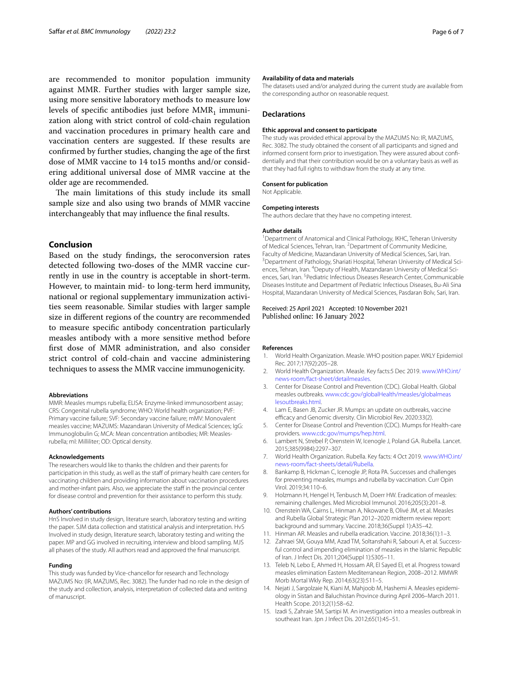are recommended to monitor population immunity against MMR. Further studies with larger sample size, using more sensitive laboratory methods to measure low levels of specific antibodies just before  $MMR_1$  immunization along with strict control of cold-chain regulation and vaccination procedures in primary health care and vaccination centers are suggested. If these results are confrmed by further studies, changing the age of the frst dose of MMR vaccine to 14 to15 months and/or considering additional universal dose of MMR vaccine at the older age are recommended.

The main limitations of this study include its small sample size and also using two brands of MMR vaccine interchangeably that may infuence the fnal results.

### **Conclusion**

Based on the study fndings, the seroconversion rates detected following two-doses of the MMR vaccine currently in use in the country is acceptable in short-term. However, to maintain mid- to long-term herd immunity, national or regional supplementary immunization activities seem reasonable. Similar studies with larger sample size in diferent regions of the country are recommended to measure specifc antibody concentration particularly measles antibody with a more sensitive method before frst dose of MMR administration, and also consider strict control of cold-chain and vaccine administering techniques to assess the MMR vaccine immunogenicity.

#### **Abbreviations**

MMR: Measles mumps rubella; ELISA: Enzyme-linked immunosorbent assay; CRS: Congenital rubella syndrome; WHO: World health organization; PVF: Primary vaccine failure; SVF: Secondary vaccine failure; mMV: Monovalent measles vaccine; MAZUMS: Mazandaran University of Medical Sciences; IgG: Immunoglobulin G; MCA: Mean concentration antibodies; MR: Measlesrubella; ml: Milliliter; OD: Optical density.

#### **Acknowledgements**

The researchers would like to thanks the children and their parents for participation in this study, as well as the staff of primary health care centers for vaccinating children and providing information about vaccination procedures and mother-infant pairs. Also, we appreciate the staff in the provincial center for disease control and prevention for their assistance to perform this study.

#### **Authors' contributions**

HnS Involved in study design, literature search, laboratory testing and writing the paper. SJM data collection and statistical analysis and interpretation. HvS Involved in study design, literature search, laboratory testing and writing the paper. MP and GG involved in recruiting, interview and blood sampling. MJS all phases of the study. All authors read and approved the fnal manuscript.

#### **Funding**

This study was funded by Vice-chancellor for research and Technology MAZUMS No: (IR, MAZUMS, Rec. 3082). The funder had no role in the design of the study and collection, analysis, interpretation of collected data and writing of manuscript.

#### **Availability of data and materials**

The datasets used and/or analyzed during the current study are available from the corresponding author on reasonable request.

#### **Declarations**

#### **Ethic approval and consent to participate**

The study was provided ethical approval by the MAZUMS No: IR, MAZUMS, Rec. 3082. The study obtained the consent of all participants and signed and informed consent form prior to investigation. They were assured about confidentially and that their contribution would be on a voluntary basis as well as that they had full rights to withdraw from the study at any time.

#### **Consent for publication**

Not Applicable.

#### **Competing interests**

The authors declare that they have no competing interest.

#### **Author details**

<sup>1</sup> Department of Anatomical and Clinical Pathology, IKHC, Teheran University of Medical Sciences, Tehran, Iran. <sup>2</sup> Department of Community Medicine, Faculty of Medicine, Mazandaran University of Medical Sciences, Sari, Iran. <sup>3</sup> Department of Pathology, Shariati Hospital, Teheran University of Medical Sciences, Tehran, Iran. <sup>4</sup> Deputy of Health, Mazandaran University of Medical Sciences, Sari, Iran. <sup>5</sup> Pediatric Infectious Diseases Research Center, Communicable Diseases Institute and Department of Pediatric Infectious Diseases, Bu‑Ali Sina Hospital, Mazandaran University of Medical Sciences, Pasdaran Bolv, Sari, Iran.

#### Received: 25 April 2021 Accepted: 10 November 2021 Published online: 16 January 2022

#### **References**

- <span id="page-5-0"></span>1. World Health Organization. Measle. WHO position paper. WKLY Epidemiol Rec. 2017;17(92):205–28.
- <span id="page-5-1"></span>2. World Health Organization. Measle. Key facts:5 Dec 2019. [www.WHO.int/](http://www.WHO.int/news-room/fact-sheet/detailmeasles) [news-room/fact-sheet/detailmeasles.](http://www.WHO.int/news-room/fact-sheet/detailmeasles)
- <span id="page-5-2"></span>3. Center for Disease Control and Prevention (CDC). Global Health. Global measles outbreaks. [www.cdc.gov/globalHealth/measles/globalmeas](http://www.cdc.gov/globalHealth/measles/globalmeaslesoutbreaks.html) [lesoutbreaks.html.](http://www.cdc.gov/globalHealth/measles/globalmeaslesoutbreaks.html)
- <span id="page-5-3"></span>4. Lam E, Basen JB, Zucker JR. Mumps: an update on outbreaks, vaccine efficacy and Genomic diversity. Clin Microbiol Rev. 2020:33(2).
- <span id="page-5-4"></span>5. Center for Disease Control and Prevention (CDC). Mumps for Health-care providers. [www.cdc.gov/mumps/hep.html.](http://www.cdc.gov/mumps/hep.html)
- <span id="page-5-5"></span>6. Lambert N, Strebel P, Orenstein W, Icenogle J, Poland GA. Rubella. Lancet. 2015;385(9984):2297–307.
- <span id="page-5-6"></span>7. World Health Organization. Rubella. Key facts: 4 Oct 2019. [www.WHO.int/](http://www.WHO.int/news-room/fact-sheets/detail/Rubella) [news-room/fact-sheets/detail/Rubella](http://www.WHO.int/news-room/fact-sheets/detail/Rubella).
- <span id="page-5-7"></span>8. Bankamp B, Hickman C, Icenogle JP, Rota PA. Successes and challenges for preventing measles, mumps and rubella by vaccination. Curr Opin Virol. 2019;34:110–6.
- 9. Holzmann H, Hengel H, Tenbusch M, Doerr HW. Eradication of measles: remaining challenges. Med Microbiol Immunol. 2016;205(3):201–8.
- 10. Orenstein WA, Cairns L, Hinman A, Nkowane B, Olivé JM, et al. Measles and Rubella Global Strategic Plan 2012–2020 midterm review report: background and summary. Vaccine. 2018;36(Suppl 1):A35–42.
- <span id="page-5-8"></span>11. Hinman AR. Measles and rubella eradication. Vaccine. 2018;36(1):1–3.
- <span id="page-5-9"></span>12. Zahraei SM, Gouya MM, Azad TM, Soltanshahi R, Sabouri A, et al. Successful control and impending elimination of measles in the Islamic Republic of Iran. J Infect Dis. 2011;204(Suppl 1):S305–11.
- <span id="page-5-10"></span>13. Teleb N, Lebo E, Ahmed H, Hossam AR, El Sayed El, et al. Progress toward measles elimination Eastern Mediterranean Region, 2008–2012. MMWR Morb Mortal Wkly Rep. 2014;63(23):511–5.
- <span id="page-5-11"></span>14. Nejati J, Sargolzaie N, Kiani M, Mahjoob M, Hashemi A. Measles epidemiology in Sistan and Baluchistan Province during April 2006–March 2011. Health Scope. 2013;2(1):58–62.
- <span id="page-5-12"></span>15. Izadi S, Zahraie SM, Sartipi M. An investigation into a measles outbreak in southeast Iran. Jpn J Infect Dis. 2012;65(1):45–51.